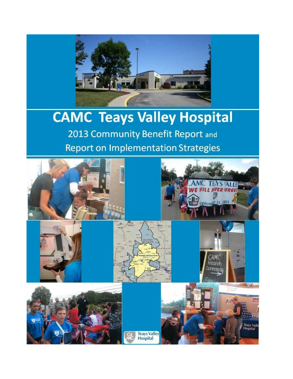

# **CAMC Teays Valley Hospital**

2013 Community Benefit Report and **Report on Implementation Strategies** 

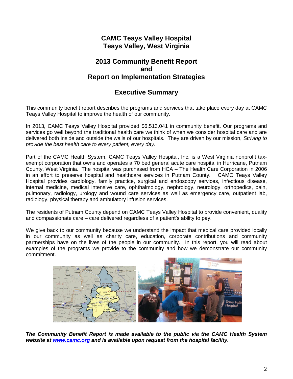### **CAMC Teays Valley Hospital Teays Valley, West Virginia**

### **2013 Community Benefit Report and Report on Implementation Strategies**

### **Executive Summary**

This community benefit report describes the programs and services that take place every day at CAMC Teays Valley Hospital to improve the health of our community.

In 2013, CAMC Teays Valley Hospital provided \$6,513,041 in community benefit. Our programs and services go well beyond the traditional health care we think of when we consider hospital care and are delivered both inside and outside the walls of our hospitals. They are driven by our mission, *Striving to provide the best health care to every patient, every day.* 

Part of the CAMC Health System, CAMC Teays Valley Hospital, Inc. is a West Virginia nonprofit taxexempt corporation that owns and operates a 70 bed general acute care hospital in Hurricane, Putnam County, West Virginia. The hospital was purchased from HCA – The Health Care Corporation in 2006 in an effort to preserve hospital and healthcare services in Putnam County. CAMC Teays Valley Hospital provides cardiology, family practice, surgical and endoscopy services, infectious disease, internal medicine, medical intensive care, ophthalmology, nephrology, neurology, orthopedics, pain, pulmonary, radiology, urology and wound care services as well as emergency care, outpatient lab, radiology, physical therapy and ambulatory infusion services.

The residents of Putnam County depend on CAMC Teays Valley Hospital to provide convenient, quality and compassionate care – care delivered regardless of a patient's ability to pay.

We give back to our community because we understand the impact that medical care provided locally in our community as well as charity care, education, corporate contributions and community partnerships have on the lives of the people in our community. In this report, you will read about examples of the programs we provide to the community and how we demonstrate our community commitment.



*The Community Benefit Report is made available to the public via the CAMC Health System website at [www.camc.org](http://www.camc.org/) and is available upon request from the hospital facility.*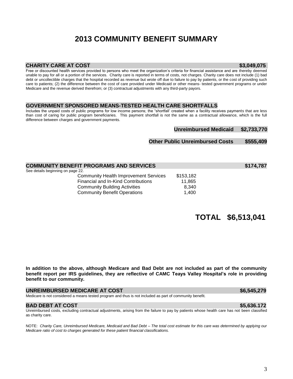#### **CHARITY CARE AT COST <b>EXECUTE: AND IN EXAMPLE 2012 12:00:00 PM 2012 12:00:00 PM 3,049,075**

Free or discounted health services provided to persons who meet the organization's criteria for financial assistance and are thereby deemed unable to pay for all or a portion of the services. Charity care is reported in terms of costs, not charges. Charity care does not include (1) bad debt or uncollectible charges that the hospital recorded as revenue but wrote off due to failure to pay by patients, or the cost of providing such care to patients; (2) the difference between the cost of care provided under Medicaid or other means- tested government programs or under Medicare and the revenue derived therefrom; or (3) contractual adjustments with any third-party payors.

**2013 COMMUNITY BENEFIT SUMMARY**

### **GOVERNMENT SPONSORED MEANS-TESTED HEALTH CARE SHORTFALLS**

Includes the unpaid costs of public programs for low income persons; the "shortfall' created when a facility receives payments that are less than cost of caring for public program beneficiaries. This payment shortfall is not the same as a contractual allowance, which is the full difference between charges and government payments.

 **Unreimbursed Medicaid \$2,733,770**

 **Other Public Unreimbursed Costs \$555,409**

|                                   | <b>COMMUNITY BENEFIT PROGRAMS AND SERVICES</b> |           | \$174,787 |
|-----------------------------------|------------------------------------------------|-----------|-----------|
| See details beginning on page 22. |                                                |           |           |
|                                   | <b>Community Health Improvement Services</b>   | \$153.182 |           |
|                                   | Financial and In-Kind Contributions            | 11.865    |           |
|                                   | <b>Community Building Activities</b>           | 8.340     |           |
|                                   | <b>Community Benefit Operations</b>            | 1.400     |           |
|                                   |                                                |           |           |

### **TOTAL \$6,513,041**

**In addition to the above, although Medicare and Bad Debt are not included as part of the community benefit report per IRS guidelines, they are reflective of CAMC Teays Valley Hospital's role in providing benefit to our community.**

| UNREIMBURSED MEDICARE AT COST | \$6,545,279 |
|-------------------------------|-------------|
|-------------------------------|-------------|

Medicare is not considered a means tested program and thus is not included as part of community benefit.

#### **BAD DEBT AT COST \$5,636.172**

Unreimbursed costs, excluding contractual adjustments, arising from the failure to pay by patients whose health care has not been classified as charity care.

NOTE: *Charity Care, Unreimbursed Medicare, Medicaid and Bad Debt – The total cost estimate for this care was determined by applying our Medicare ratio of cost to charges generated for these patient financial classifications.*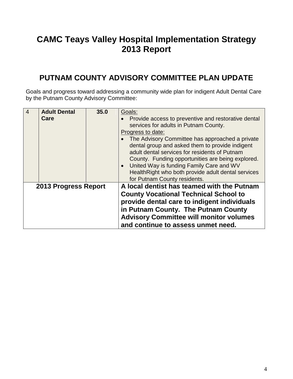### **CAMC Teays Valley Hospital Implementation Strategy 2013 Report**

### **PUTNAM COUNTY ADVISORY COMMITTEE PLAN UPDATE**

Goals and progress toward addressing a community wide plan for indigent Adult Dental Care by the Putnam County Advisory Committee:

| $\overline{4}$              | <b>Adult Dental</b> | 35.0 | Goals:                                                                                                                                                                                                                                                                                                                                                                                                                                                             |
|-----------------------------|---------------------|------|--------------------------------------------------------------------------------------------------------------------------------------------------------------------------------------------------------------------------------------------------------------------------------------------------------------------------------------------------------------------------------------------------------------------------------------------------------------------|
|                             | Care                |      | Provide access to preventive and restorative dental<br>services for adults in Putnam County.<br>Progress to date:<br>The Advisory Committee has approached a private<br>dental group and asked them to provide indigent<br>adult dental services for residents of Putnam<br>County. Funding opportunities are being explored.<br>• United Way is funding Family Care and WV<br>Health Right who both provide adult dental services<br>for Putnam County residents. |
| <b>2013 Progress Report</b> |                     |      | A local dentist has teamed with the Putnam<br><b>County Vocational Technical School to</b><br>provide dental care to indigent individuals<br>in Putnam County. The Putnam County<br><b>Advisory Committee will monitor volumes</b><br>and continue to assess unmet need.                                                                                                                                                                                           |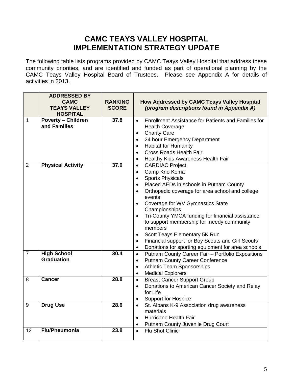### **CAMC TEAYS VALLEY HOSPITAL IMPLEMENTATION STRATEGY UPDATE**

The following table lists programs provided by CAMC Teays Valley Hospital that address these community priorities, and are identified and funded as part of operational planning by the CAMC Teays Valley Hospital Board of Trustees. Please see Appendix A for details of activities in 2013.

|                | <b>ADDRESSED BY</b><br><b>CAMC</b><br><b>TEAYS VALLEY</b><br><b>HOSPITAL</b> | <b>RANKING</b><br><b>SCORE</b> | How Addressed by CAMC Teays Valley Hospital<br>(program descriptions found in Appendix A)                                                                                                                                                                                                                                                                                                                                                                                                                                                                                                                |
|----------------|------------------------------------------------------------------------------|--------------------------------|----------------------------------------------------------------------------------------------------------------------------------------------------------------------------------------------------------------------------------------------------------------------------------------------------------------------------------------------------------------------------------------------------------------------------------------------------------------------------------------------------------------------------------------------------------------------------------------------------------|
| $\mathbf 1$    | <b>Poverty - Children</b><br>and Families                                    | 37.8                           | <b>Enrollment Assistance for Patients and Families for</b><br>$\bullet$<br><b>Health Coverage</b><br><b>Charity Care</b><br>$\bullet$<br>24 hour Emergency Department<br>$\bullet$<br><b>Habitat for Humanity</b><br>$\bullet$<br><b>Cross Roads Health Fair</b><br>$\bullet$                                                                                                                                                                                                                                                                                                                            |
| $\overline{2}$ | <b>Physical Activity</b>                                                     | 37.0                           | Healthy Kids Awareness Health Fair<br>$\bullet$<br><b>CARDIAC Project</b><br>$\bullet$<br>Camp Kno Koma<br>$\bullet$<br><b>Sports Physicals</b><br>$\bullet$<br>Placed AEDs in schools in Putnam County<br>$\bullet$<br>Orthopedic coverage for area school and college<br>$\bullet$<br>events<br>Coverage for WV Gymnastics State<br>$\bullet$<br>Championships<br>Tri-County YMCA funding for financial assistance<br>$\bullet$<br>to support membership for needy community<br>members<br>Scott Teays Elementary 5K Run<br>$\bullet$<br>Financial support for Boy Scouts and Girl Scouts<br>$\bullet$ |
| $\overline{7}$ | <b>High School</b><br><b>Graduation</b>                                      | 30.4                           | Donations for sporting equipment for area schools<br>$\bullet$<br>Putnam County Career Fair - Portfolio Expositions<br>$\bullet$<br><b>Putnam County Career Conference</b><br>$\bullet$<br><b>Athletic Team Sponsorships</b><br>$\bullet$<br><b>Medical Explorers</b><br>$\bullet$                                                                                                                                                                                                                                                                                                                       |
| 8              | <b>Cancer</b>                                                                | 28.8                           | <b>Breast Cancer Support Group</b><br>$\bullet$<br>Donations to American Cancer Society and Relay<br>$\bullet$<br>for Life<br><b>Support for Hospice</b><br>$\bullet$                                                                                                                                                                                                                                                                                                                                                                                                                                    |
| 9              | <b>Drug Use</b>                                                              | 28.6                           | St. Albans K-9 Association drug awareness<br>$\bullet$<br>materials<br>Hurricane Health Fair<br>$\bullet$<br>Putnam County Juvenile Drug Court<br>$\bullet$                                                                                                                                                                                                                                                                                                                                                                                                                                              |
| 12             | <b>Flu/Pneumonia</b>                                                         | 23.8                           | <b>Flu Shot Clinic</b><br>$\bullet$                                                                                                                                                                                                                                                                                                                                                                                                                                                                                                                                                                      |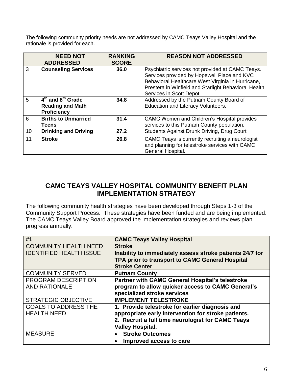The following community priority needs are not addressed by CAMC Teays Valley Hospital and the rationale is provided for each.

|    | <b>NEED NOT</b><br><b>ADDRESSED</b>                                                        | <b>RANKING</b><br><b>SCORE</b> | <b>REASON NOT ADDRESSED</b>                                                                                                                                                                                                                    |
|----|--------------------------------------------------------------------------------------------|--------------------------------|------------------------------------------------------------------------------------------------------------------------------------------------------------------------------------------------------------------------------------------------|
| 3  | <b>Counseling Services</b>                                                                 | 36.0                           | Psychiatric services not provided at CAMC Teays.<br>Services provided by Hopewell Place and KVC<br>Behavioral Healthcare West Virginia in Hurricane,<br>Prestera in Winfield and Starlight Behavioral Health<br><b>Services in Scott Depot</b> |
| 5  | 4 <sup>th</sup> and 8 <sup>th</sup> Grade<br><b>Reading and Math</b><br><b>Proficiency</b> | 34.8                           | Addressed by the Putnam County Board of<br><b>Education and Literacy Volunteers.</b>                                                                                                                                                           |
| 6  | <b>Births to Unmarried</b><br><b>Teens</b>                                                 | 31.4                           | <b>CAMC Women and Children's Hospital provides</b><br>services to this Putnam County population.                                                                                                                                               |
| 10 | <b>Drinking and Driving</b>                                                                | 27.2                           | Students Against Drunk Driving, Drug Court                                                                                                                                                                                                     |
| 11 | <b>Stroke</b>                                                                              | 26.8                           | CAMC Teays is currently recruiting a neurologist<br>and planning for telestroke services with CAMC<br>General Hospital.                                                                                                                        |

### **CAMC TEAYS VALLEY HOSPITAL COMMUNITY BENEFIT PLAN IMPLEMENTATION STRATEGY**

The following community health strategies have been developed through Steps 1-3 of the Community Support Process. These strategies have been funded and are being implemented. The CAMC Teays Valley Board approved the implementation strategies and reviews plan progress annually.

| #1                             | <b>CAMC Teays Valley Hospital</b>                        |
|--------------------------------|----------------------------------------------------------|
| <b>COMMUNITY HEALTH NEED</b>   | <b>Stroke</b>                                            |
| <b>IDENTIFIED HEALTH ISSUE</b> | Inability to immediately assess stroke patients 24/7 for |
|                                | TPA prior to transport to CAMC General Hospital          |
|                                | <b>Stroke Center</b>                                     |
| <b>COMMUNITY SERVED</b>        | <b>Putnam County</b>                                     |
| PROGRAM DESCRIPTION            | <b>Partner with CAMC General Hospital's telestroke</b>   |
| <b>AND RATIONALE</b>           | program to allow quicker access to CAMC General's        |
|                                | specialized stroke services                              |
| <b>STRATEGIC OBJECTIVE</b>     | <b>IMPLEMENT TELESTROKE</b>                              |
| <b>GOALS TO ADDRESS THE</b>    | 1. Provide telestroke for earlier diagnosis and          |
| <b>HEALTH NEED</b>             | appropriate early intervention for stroke patients.      |
|                                | 2. Recruit a full time neurologist for CAMC Teays        |
|                                | <b>Valley Hospital.</b>                                  |
| <b>MEASURE</b>                 | <b>Stroke Outcomes</b>                                   |
|                                | Improved access to care                                  |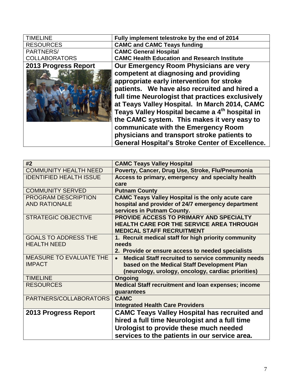| <b>TIMELINE</b>      | Fully implement telestroke by the end of 2014              |
|----------------------|------------------------------------------------------------|
| <b>RESOURCES</b>     | <b>CAMC and CAMC Teays funding</b>                         |
| PARTNERS/            | <b>CAMC General Hospital</b>                               |
| <b>COLLABORATORS</b> | <b>CAMC Health Education and Research Institute</b>        |
| 2013 Progress Report | Our Emergency Room Physicians are very                     |
|                      | competent at diagnosing and providing                      |
|                      | appropriate early intervention for stroke                  |
|                      | patients. We have also recruited and hired a               |
|                      | full time Neurologist that practices exclusively           |
|                      | at Teays Valley Hospital. In March 2014, CAMC              |
|                      | Teays Valley Hospital became a 4 <sup>th</sup> hospital in |
|                      | the CAMC system. This makes it very easy to                |
|                      | communicate with the Emergency Room                        |
|                      | physicians and transport stroke patients to                |
|                      | <b>General Hospital's Stroke Center of Excellence.</b>     |

| #2                             | <b>CAMC Teays Valley Hospital</b>                                                                                                     |
|--------------------------------|---------------------------------------------------------------------------------------------------------------------------------------|
| <b>COMMUNITY HEALTH NEED</b>   | Poverty, Cancer, Drug Use, Stroke, Flu/Pneumonia                                                                                      |
| <b>IDENTIFIED HEALTH ISSUE</b> | Access to primary, emergency and specialty health                                                                                     |
|                                | care                                                                                                                                  |
| <b>COMMUNITY SERVED</b>        | <b>Putnam County</b>                                                                                                                  |
| <b>PROGRAM DESCRIPTION</b>     | <b>CAMC Teays Valley Hospital is the only acute care</b>                                                                              |
| <b>AND RATIONALE</b>           | hospital and provider of 24/7 emergency department<br>services in Putnam County.                                                      |
| <b>STRATEGIC OBJECTIVE</b>     | <b>PROVIDE ACCESS TO PRIMARY AND SPECIALTY</b><br><b>HEALTH CARE FOR THE SERVICE AREA THROUGH</b><br><b>MEDICAL STAFF RECRUITMENT</b> |
| <b>GOALS TO ADDRESS THE</b>    | 1. Recruit medical staff for high priority community                                                                                  |
| <b>HEALTH NEED</b>             | needs                                                                                                                                 |
|                                | 2. Provide or ensure access to needed specialists                                                                                     |
| <b>MEASURE TO EVALUATE THE</b> | <b>Medical Staff recruited to service community needs</b><br>$\bullet$                                                                |
| <b>IMPACT</b>                  | based on the Medical Staff Development Plan                                                                                           |
|                                | (neurology, urology, oncology, cardiac priorities)                                                                                    |
| <b>TIMELINE</b>                | <b>Ongoing</b>                                                                                                                        |
| <b>RESOURCES</b>               | <b>Medical Staff recruitment and loan expenses; income</b>                                                                            |
|                                | guarantees                                                                                                                            |
| PARTNERS/COLLABORATORS         | <b>CAMC</b>                                                                                                                           |
|                                | <b>Integrated Health Care Providers</b>                                                                                               |
| 2013 Progress Report           | <b>CAMC Teays Valley Hospital has recruited and</b>                                                                                   |
|                                | hired a full time Neurologist and a full time                                                                                         |
|                                | Urologist to provide these much needed                                                                                                |
|                                | services to the patients in our service area.                                                                                         |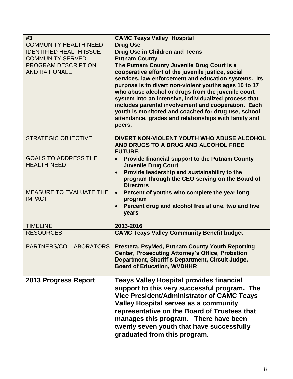| #3                                                | <b>CAMC Teays Valley Hospital</b>                                                                                                                                                                                                                                                                                                                                                                                                                                                                                |
|---------------------------------------------------|------------------------------------------------------------------------------------------------------------------------------------------------------------------------------------------------------------------------------------------------------------------------------------------------------------------------------------------------------------------------------------------------------------------------------------------------------------------------------------------------------------------|
| <b>COMMUNITY HEALTH NEED</b>                      | <b>Drug Use</b>                                                                                                                                                                                                                                                                                                                                                                                                                                                                                                  |
| <b>IDENTIFIED HEALTH ISSUE</b>                    | <b>Drug Use in Children and Teens</b>                                                                                                                                                                                                                                                                                                                                                                                                                                                                            |
| <b>COMMUNITY SERVED</b>                           | <b>Putnam County</b>                                                                                                                                                                                                                                                                                                                                                                                                                                                                                             |
| PROGRAM DESCRIPTION<br><b>AND RATIONALE</b>       | The Putnam County Juvenile Drug Court is a<br>cooperative effort of the juvenile justice, social<br>services, law enforcement and education systems. Its<br>purpose is to divert non-violent youths ages 10 to 17<br>who abuse alcohol or drugs from the juvenile court<br>system into an intensive, individualized process that<br>includes parental involvement and cooperation. Each<br>youth is monitored and coached for drug use, school<br>attendance, grades and relationships with family and<br>peers. |
| <b>STRATEGIC OBJECTIVE</b>                        | DIVERT NON-VIOLENT YOUTH WHO ABUSE ALCOHOL<br>AND DRUGS TO A DRUG AND ALCOHOL FREE<br><b>FUTURE.</b>                                                                                                                                                                                                                                                                                                                                                                                                             |
| <b>GOALS TO ADDRESS THE</b><br><b>HEALTH NEED</b> | <b>Provide financial support to the Putnam County</b><br>$\bullet$<br><b>Juvenile Drug Court</b><br>Provide leadership and sustainability to the<br>$\bullet$<br>program through the CEO serving on the Board of<br><b>Directors</b>                                                                                                                                                                                                                                                                             |
| <b>MEASURE TO EVALUATE THE</b><br><b>IMPACT</b>   | Percent of youths who complete the year long<br>$\bullet$<br>program<br>Percent drug and alcohol free at one, two and five<br>years                                                                                                                                                                                                                                                                                                                                                                              |
| <b>TIMELINE</b>                                   | 2013-2016                                                                                                                                                                                                                                                                                                                                                                                                                                                                                                        |
| <b>RESOURCES</b>                                  | <b>CAMC Teays Valley Community Benefit budget</b>                                                                                                                                                                                                                                                                                                                                                                                                                                                                |
| PARTNERS/COLLABORATORS                            | Prestera, PsyMed, Putnam County Youth Reporting<br><b>Center, Prosecuting Attorney's Office, Probation</b><br>Department, Sheriff's Department, Circuit Judge,<br><b>Board of Education, WVDHHR</b>                                                                                                                                                                                                                                                                                                              |
| <b>2013 Progress Report</b>                       | <b>Teays Valley Hospital provides financial</b><br>support to this very successful program. The<br><b>Vice President/Administrator of CAMC Teays</b><br><b>Valley Hospital serves as a community</b><br>representative on the Board of Trustees that<br>manages this program. There have been<br>twenty seven youth that have successfully<br>graduated from this program.                                                                                                                                       |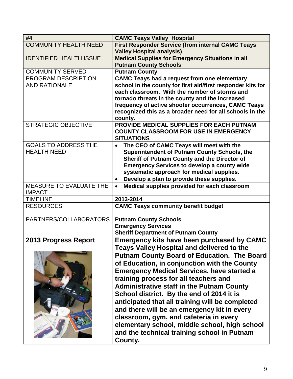| #4                                       | <b>CAMC Teays Valley Hospital</b>                           |
|------------------------------------------|-------------------------------------------------------------|
| <b>COMMUNITY HEALTH NEED</b>             | <b>First Responder Service (from internal CAMC Teays</b>    |
|                                          | <b>Valley Hospital analysis)</b>                            |
| <b>IDENTIFIED HEALTH ISSUE</b>           | <b>Medical Supplies for Emergency Situations in all</b>     |
|                                          | <b>Putnam County Schools</b>                                |
| <b>COMMUNITY SERVED</b>                  | <b>Putnam County</b>                                        |
| PROGRAM DESCRIPTION                      | <b>CAMC Teays had a request from one elementary</b>         |
| <b>AND RATIONALE</b>                     | school in the county for first aid/first responder kits for |
|                                          | each classroom. With the number of storms and               |
|                                          | tornado threats in the county and the increased             |
|                                          | frequency of active shooter occurrences, CAMC Teays         |
|                                          | recognized this as a broader need for all schools in the    |
|                                          | county.                                                     |
| <b>STRATEGIC OBJECTIVE</b>               | PROVIDE MEDICAL SUPPLIES FOR EACH PUTNAM                    |
|                                          | <b>COUNTY CLASSROOM FOR USE IN EMERGENCY</b>                |
|                                          | <b>SITUATIONS</b>                                           |
| <b>GOALS TO ADDRESS THE</b>              | The CEO of CAMC Teays will meet with the<br>$\bullet$       |
| <b>HEALTH NEED</b>                       | <b>Superintendent of Putnam County Schools, the</b>         |
|                                          | Sheriff of Putnam County and the Director of                |
|                                          | <b>Emergency Services to develop a county wide</b>          |
|                                          | systematic approach for medical supplies.                   |
|                                          | Develop a plan to provide these supplies.<br>$\bullet$      |
| MEASURE TO EVALUATE THE<br><b>IMPACT</b> | Medical supplies provided for each classroom<br>$\bullet$   |
| <b>TIMELINE</b>                          | 2013-2014                                                   |
| <b>RESOURCES</b>                         | <b>CAMC Teays community benefit budget</b>                  |
|                                          |                                                             |
| PARTNERS/COLLABORATORS                   | <b>Putnam County Schools</b>                                |
|                                          | <b>Emergency Services</b>                                   |
|                                          | <b>Sheriff Department of Putnam County</b>                  |
| <b>2013 Progress Report</b>              | <b>Emergency kits have been purchased by CAMC</b>           |
|                                          | Teays Valley Hospital and delivered to the                  |
|                                          | <b>Putnam County Board of Education. The Board</b>          |
|                                          | of Education, in conjunction with the County                |
|                                          | <b>Emergency Medical Services, have started a</b>           |
|                                          | training process for all teachers and                       |
|                                          |                                                             |
|                                          | <b>Administrative staff in the Putnam County</b>            |
|                                          | School district. By the end of 2014 it is                   |
|                                          | anticipated that all training will be completed             |
|                                          | and there will be an emergency kit in every                 |
|                                          | classroom, gym, and cafeteria in every                      |
|                                          | elementary school, middle school, high school               |
|                                          | and the technical training school in Putnam                 |
|                                          |                                                             |
|                                          | County.                                                     |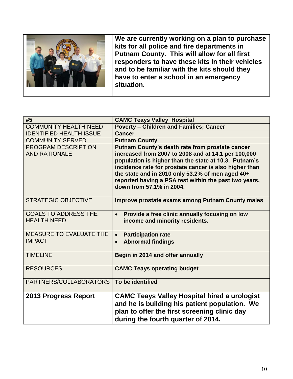

**We are currently working on a plan to purchase kits for all police and fire departments in Putnam County. This will allow for all first responders to have these kits in their vehicles and to be familiar with the kits should they have to enter a school in an emergency situation.** 

| #5                                                | <b>CAMC Teays Valley Hospital</b>                                                                                                                                                                                                                                                                                                                                  |
|---------------------------------------------------|--------------------------------------------------------------------------------------------------------------------------------------------------------------------------------------------------------------------------------------------------------------------------------------------------------------------------------------------------------------------|
| <b>COMMUNITY HEALTH NEED</b>                      | <b>Poverty - Children and Families; Cancer</b>                                                                                                                                                                                                                                                                                                                     |
| <b>IDENTIFIED HEALTH ISSUE</b>                    | <b>Cancer</b>                                                                                                                                                                                                                                                                                                                                                      |
| <b>COMMUNITY SERVED</b>                           | <b>Putnam County</b>                                                                                                                                                                                                                                                                                                                                               |
| PROGRAM DESCRIPTION<br><b>AND RATIONALE</b>       | Putnam County's death rate from prostate cancer<br>increased from 2007 to 2008 and at 14.1 per 100,000<br>population is higher than the state at 10.3. Putnam's<br>incidence rate for prostate cancer is also higher than<br>the state and in 2010 only 53.2% of men aged 40+<br>reported having a PSA test within the past two years,<br>down from 57.1% in 2004. |
| <b>STRATEGIC OBJECTIVE</b>                        | Improve prostate exams among Putnam County males                                                                                                                                                                                                                                                                                                                   |
| <b>GOALS TO ADDRESS THE</b><br><b>HEALTH NEED</b> | Provide a free clinic annually focusing on low<br>$\bullet$<br>income and minority residents.                                                                                                                                                                                                                                                                      |
| <b>MEASURE TO EVALUATE THE</b><br><b>IMPACT</b>   | <b>Participation rate</b><br>$\bullet$<br><b>Abnormal findings</b><br>$\bullet$                                                                                                                                                                                                                                                                                    |
| <b>TIMELINE</b>                                   | Begin in 2014 and offer annually                                                                                                                                                                                                                                                                                                                                   |
| <b>RESOURCES</b>                                  | <b>CAMC Teays operating budget</b>                                                                                                                                                                                                                                                                                                                                 |
| PARTNERS/COLLABORATORS                            | To be identified                                                                                                                                                                                                                                                                                                                                                   |
| 2013 Progress Report                              | <b>CAMC Teays Valley Hospital hired a urologist</b><br>and he is building his patient population. We<br>plan to offer the first screening clinic day<br>during the fourth quarter of 2014.                                                                                                                                                                         |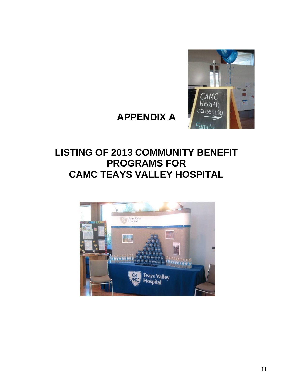

# **APPENDIX A**

# **LISTING OF 2013 COMMUNITY BENEFIT PROGRAMS FOR CAMC TEAYS VALLEY HOSPITAL**

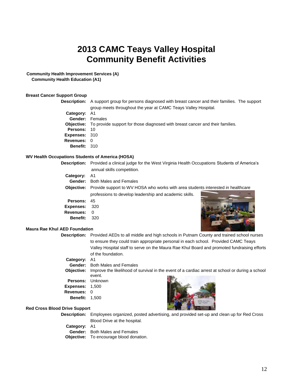### **2013 CAMC Teays Valley Hospital Community Benefit Activities**

**Community Health Improvement Services (A) Community Health Education (A1)**

#### **Breast Cancer Support Group**

|                        | <b>Description:</b> A support group for persons diagnosed with breast cancer and their families. The support |
|------------------------|--------------------------------------------------------------------------------------------------------------|
|                        | group meets throughout the year at CAMC Teays Valley Hospital.                                               |
| Category: A1           |                                                                                                              |
| <b>Gender:</b> Females |                                                                                                              |
|                        | <b>Objective:</b> To provide support for those diagnosed with breast cancer and their families.              |
| <b>Persons: 10</b>     |                                                                                                              |
| Expenses: 310          |                                                                                                              |
| Revenues: 0            |                                                                                                              |
| Benefit: 310           |                                                                                                              |

#### **WV Health Occupations Students of America (HOSA)**

**Revenues:** 0 **Benefit:** 320

|                  | <b>Description:</b> Provided a clinical judge for the West Virginia Health Occupations Students of America's |                    |
|------------------|--------------------------------------------------------------------------------------------------------------|--------------------|
|                  | annual skills competition.                                                                                   |                    |
| Category: A1     |                                                                                                              |                    |
|                  | <b>Gender:</b> Both Males and Females                                                                        |                    |
|                  | Objective: Provide support to WV HOSA who works with area students interested in healthcare                  |                    |
|                  | professions to develop leadership and academic skills.                                                       |                    |
| Persons: 45      |                                                                                                              |                    |
| <b>Expenses:</b> | -320                                                                                                         | <b>CONSUMERING</b> |

#### **Maura Rae Khul AED Foundation**

**Description:** Provided AEDs to all middle and high schools in Putnam County and trained school nurses to ensure they could train appropriate personal in each school. Provided CAMC Teays Valley Hospital staff to serve on the Maura Rae Khul Board and promoted fundraising efforts of the foundation. **Category:** A1 **Gender:** Both Males and Females **Objective:** Improve the likelihood of survival in the event of a cardiac arrest at school or during a school

event. **Persons:** Unknown **Expenses:** 1,500 **Revenues:** 0 **Benefit:** 1,500



#### **Red Cross Blood Drive Support**

**Description:** Employees organized, posted advertising, and provided set-up and clean up for Red Cross Blood Drive at the hospital. **Category:** A1 **Gender:** Both Males and Females **Objective:** To encourage blood donation.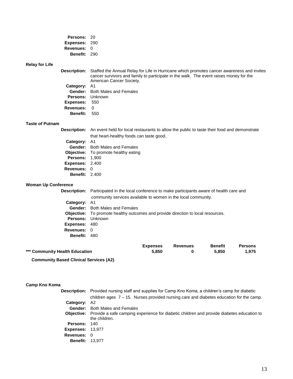| 20  |
|-----|
| 290 |
| O   |
| 290 |
|     |

#### **Relay for Life**

**Description:** Staffed the Annual Relay for Life in Hurricane which promotes cancer awareness and invites cancer survivors and family to participate in the walk. The event raises money for the American Cancer Society.

| Category: A1                          |
|---------------------------------------|
| <b>Gender:</b> Both Males and Females |
| <b>Persons: Unknown</b>               |
| <b>Expenses: 550</b>                  |
| <b>Revenues:</b> 0                    |
| Benefit: 550                          |
|                                       |

#### **Taste of Putnam**

|                       | <b>Description:</b> An event held for local restaurants to allow the public to taste their food and demonstrate |
|-----------------------|-----------------------------------------------------------------------------------------------------------------|
|                       | that heart-healthy foods can taste good.                                                                        |
| Category: A1          |                                                                                                                 |
|                       | <b>Gender:</b> Both Males and Females                                                                           |
|                       | <b>Objective:</b> To promote healthy eating                                                                     |
| <b>Persons: 1.900</b> |                                                                                                                 |
| Expenses: $2.400$     |                                                                                                                 |
| Revenues: 0           |                                                                                                                 |
| <b>Benefit: 2.400</b> |                                                                                                                 |
|                       |                                                                                                                 |

#### **Woman Up Conference**

|                         | <b>Description:</b> Participated in the local conference to make participants aware of health care and |
|-------------------------|--------------------------------------------------------------------------------------------------------|
|                         | community services available to women in the local community.                                          |
| Category: A1            |                                                                                                        |
|                         | <b>Gender:</b> Both Males and Females                                                                  |
|                         | <b>Objective:</b> To promote healthy outcomes and provide direction to local resources.                |
| <b>Persons: Unknown</b> |                                                                                                        |
| <b>Expenses: 480</b>    |                                                                                                        |
| Revenues: 0             |                                                                                                        |
| <b>Benefit: 480</b>     |                                                                                                        |

|                                               | <b>Expenses</b> | <b>Revenues</b> | <b>Benefit</b> | <b>Persons</b> |
|-----------------------------------------------|-----------------|-----------------|----------------|----------------|
| *** Community Health Education                | 5.850           |                 | 5.850          | 1.975          |
| <b>Community Based Clinical Services (A2)</b> |                 |                 |                |                |

#### **Camp Kno Koma**

|                         | Description: Provided nursing staff and supplies for Camp Kno Koma, a children's camp for diabetic          |
|-------------------------|-------------------------------------------------------------------------------------------------------------|
|                         | children ages $7 - 15$ . Nurses provided nursing care and diabetes education for the camp.                  |
| Category: A2            |                                                                                                             |
| Gender:                 | <b>Both Males and Females</b>                                                                               |
|                         | <b>Objective:</b> Provide a safe camping experience for diabetic children and provide diabetes education to |
|                         | the children.                                                                                               |
| <b>Persons: 140</b>     |                                                                                                             |
| <b>Expenses: 13,977</b> |                                                                                                             |
| Revenues: 0             |                                                                                                             |
| <b>Benefit: 13.977</b>  |                                                                                                             |
|                         |                                                                                                             |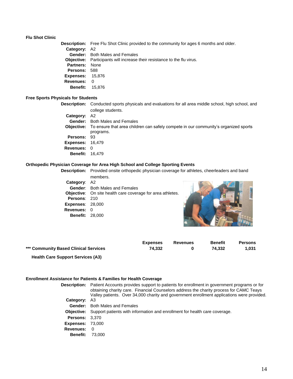#### **Flu Shot Clinic**

|                         | <b>Description:</b> Free Flu Shot Clinic provided to the community for ages 6 months and older. |
|-------------------------|-------------------------------------------------------------------------------------------------|
| Category: A2            |                                                                                                 |
|                         | <b>Gender:</b> Both Males and Females                                                           |
|                         | <b>Objective:</b> Participants will increase their resistance to the flu virus.                 |
| <b>Partners: None</b>   |                                                                                                 |
| <b>Persons: 588</b>     |                                                                                                 |
| <b>Expenses: 15,876</b> |                                                                                                 |
| Revenues: 0             |                                                                                                 |
| <b>Benefit:</b>         | 15.876                                                                                          |
|                         |                                                                                                 |

#### **Free Sports Physicals for Students**

|                         | <b>Description:</b> Conducted sports physicals and evaluations for all area middle school, high school, and |
|-------------------------|-------------------------------------------------------------------------------------------------------------|
|                         | college students.                                                                                           |
| Category: A2            |                                                                                                             |
| Gender:                 | <b>Both Males and Females</b>                                                                               |
|                         | <b>Objective:</b> To ensure that area children can safely compete in our community's organized sports       |
|                         | programs.                                                                                                   |
| <b>Persons: 93</b>      |                                                                                                             |
| <b>Expenses: 16,479</b> |                                                                                                             |
| Revenues: 0             |                                                                                                             |
| <b>Benefit: 16.479</b>  |                                                                                                             |

#### **Orthopedic Physician Coverage for Area High School and College Sporting Events**

**Description:** Provided onsite orthopedic physician coverage for athletes, cheerleaders and band

|                         | members.                                                   |  |
|-------------------------|------------------------------------------------------------|--|
| <b>Category: A2</b>     |                                                            |  |
|                         | <b>Gender:</b> Both Males and Females                      |  |
|                         | Objective: On site health care coverage for area athletes. |  |
| Persons: 210            |                                                            |  |
| <b>Expenses: 28,000</b> |                                                            |  |
| Revenues: 0             |                                                            |  |
| <b>Benefit: 28,000</b>  |                                                            |  |
|                         |                                                            |  |

|                                       | <b>Expenses</b> | <b>Revenues</b> | <b>Benefit</b> | <b>Persons</b> |
|---------------------------------------|-----------------|-----------------|----------------|----------------|
| *** Community Based Clinical Services | 74.332          |                 | 74.332         | 1.031          |

**Health Care Support Services (A3)**

### **Enrollment Assistance for Patients & Families for Health Coverage**

| <b>Description:</b>     | Patient Accounts provides support to patients for enrollment in government programs or for<br>obtaining charity care. Financial Counselors address the charity process for CAMC Teays<br>Valley patients. Over 34,000 charity and government enrollment applications were provided. |
|-------------------------|-------------------------------------------------------------------------------------------------------------------------------------------------------------------------------------------------------------------------------------------------------------------------------------|
| Category: A3            |                                                                                                                                                                                                                                                                                     |
|                         | <b>Gender:</b> Both Males and Females                                                                                                                                                                                                                                               |
| <b>Obiective:</b>       | Support patients with information and enrollment for health care coverage.                                                                                                                                                                                                          |
| <b>Persons: 3.370</b>   |                                                                                                                                                                                                                                                                                     |
| <b>Expenses: 73,000</b> |                                                                                                                                                                                                                                                                                     |
| <b>Revenues:</b>        | $\Omega$                                                                                                                                                                                                                                                                            |
| <b>Benefit:</b>         | 73,000                                                                                                                                                                                                                                                                              |
|                         |                                                                                                                                                                                                                                                                                     |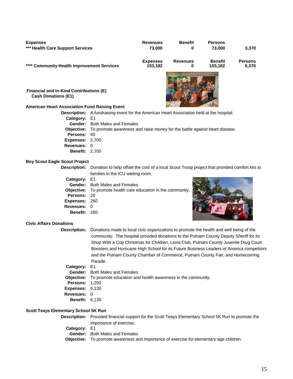| <b>Expenses</b>                                                                                                                                                      | <b>Revenues</b> | <b>Benefit</b>  | <b>Persons</b> | 3,370          |
|----------------------------------------------------------------------------------------------------------------------------------------------------------------------|-----------------|-----------------|----------------|----------------|
| *** Health Care Support Services                                                                                                                                     | 73,000          | 0               | 73,000         |                |
| <b>Community Health Improvement Services</b>                                                                                                                         | <b>Expenses</b> | <b>Revenues</b> | <b>Benefit</b> | <b>Persons</b> |
|                                                                                                                                                                      | 153,182         | 0               | 153,182        | 6,376          |
| <b>Financial and In-Kind Contributions (E)</b><br><b>Cash Donations (E1)</b>                                                                                         |                 |                 |                |                |
| <b>American Heart Association Fund Raising Event</b><br>Description: A fundraising event for the American Heart Association held at the hospital.<br>Category:<br>E1 |                 |                 |                |                |

**Gender:** Both Males and Females **Objective:** To promote awareness and raise money for the battle against heart disease. **Persons:** 40 **Expenses:** 2,700 **Revenues:** 0 **Benefit:** 2,700

#### **Boy Scout Eagle Scout Project**

**Description:** Donation to help offset the cost of a local Scout Troop project that provided comfort kits to families in the ICU waiting room.

| Category: E1         |                                                                      |
|----------------------|----------------------------------------------------------------------|
|                      | <b>Gender:</b> Both Males and Females                                |
|                      | <b>Objective:</b> To promote health care education in the community. |
| Persons: 20          |                                                                      |
| <b>Expenses: 260</b> |                                                                      |
| <b>Revenues: 0</b>   |                                                                      |
| Benefit: 260         |                                                                      |
|                      |                                                                      |



#### **Civic Affairs Donations**

**Description:** Donations made to local civic organizations to promote the health and well being of the community. The hospital provided donations to the Putnam County Deputy Sheriff for its Shop With a Cop Christmas for Children, Lions Club, Putnam County Juvenile Drug Court Boosters and Hurricane High School for its Future Business Leaders of America competitors and the Putnam County Chamber of Commerce, Putnam County Fair, and Homecoming Parade. **Category:** E1 **Gender:** Both Males and Females **Objective:** To promote education and health awareness in the community. **Persons:** 1,200 **Expenses:** 6,130 **Revenues:** 0

#### **Benefit:** 6,130

#### **Scott Teays Elementary School 5K Run**

**Description:** Provided financial support for the Scott Teays Elementary School 5K Run to promote the importance of exercise. **Category:** E1 **Gender:** Both Males and Females **Objective:** To promote awareness and importance of exercise for elementary age children.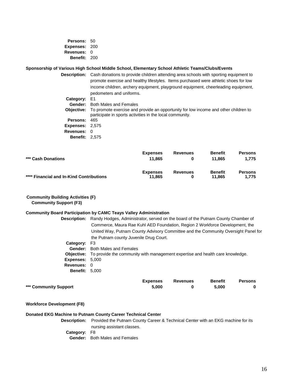| <b>Persons:</b>  | 50  |
|------------------|-----|
| <b>Expenses:</b> | 200 |
| <b>Revenues:</b> | O   |
| <b>Benefit:</b>  | 200 |

#### **Sponsorship of Various High School Middle School, Elementary School Athletic Teams/Clubs/Events**

**Description:** Cash donations to provide children attending area schools with sporting equipment to promote exercise and healthy lifestyles. Items purchased were athletic shoes for low income children, archery equipment, playground equipment, cheerleading equipment, pedometers and uniforms.

**Category:** E1

**Gender:** Both Males and Females

**Objective:** To promote exercise and provide an opportunity for low income and other children to participate in sports activities in the local community. **Persons:** 465

**Expenses:** 2,575 **Revenues:** 0 **Benefit:** 2,575

| *** Cash Donations                       | <b>Expenses</b><br>11.865 | <b>Revenues</b> | <b>Benefit</b><br>11.865 | <b>Persons</b><br>1.775 |
|------------------------------------------|---------------------------|-----------------|--------------------------|-------------------------|
| **** Financial and In-Kind Contributions | <b>Expenses</b><br>11.865 | <b>Revenues</b> | <b>Benefit</b><br>11.865 | <b>Persons</b><br>1.775 |

#### **Community Building Activities (F) Community Support (F3)**

#### **Community Board Participation by CAMC Teays Valley Administration**

|                       | <b>Description:</b> Randy Hodges, Administrator, served on the board of the Putnam County Chamber of |
|-----------------------|------------------------------------------------------------------------------------------------------|
|                       | Commerce, Maura Rae Kuhl AED Foundation, Region 2 Workforce Development, the                         |
|                       | United Way, Putnam County Advisory Committee and the Community Oversight Panel for                   |
|                       | the Putnam county Juvenile Drug Court.                                                               |
| Category: F3          |                                                                                                      |
|                       | <b>Gender:</b> Both Males and Females                                                                |
|                       | <b>Objective:</b> To provide the community with management expertise and health care knowledge.      |
| Expenses: 5,000       |                                                                                                      |
| Revenues: 0           |                                                                                                      |
| <b>Benefit: 5,000</b> |                                                                                                      |
|                       |                                                                                                      |

|                       | <b>Expenses</b> | <b>Revenues</b> | <b>Benefit</b> | <b>Persons</b> |
|-----------------------|-----------------|-----------------|----------------|----------------|
| *** Community Support | 5.000           |                 | 5.000          |                |

#### **Workforce Development (F8)**

#### **Donated EKG Machine to Putnam County Career Technical Center**

**Description:** Provided the Putnam County Career & Technical Center with an EKG machine for its nursing assistant classes.

**Category:** F8

**Gender:** Both Males and Females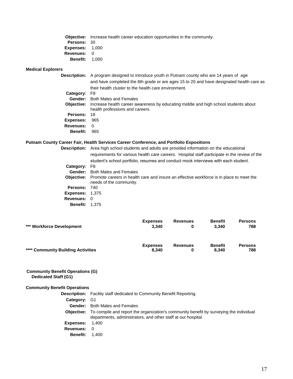|                        | <b>Objective:</b> Increase health career education opportunities in the community. |
|------------------------|------------------------------------------------------------------------------------|
| <b>Persons: 30</b>     |                                                                                    |
| <b>Expenses: 1,000</b> |                                                                                    |
| <b>Revenues:</b> 0     |                                                                                    |
| <b>Benefit: 1.000</b>  |                                                                                    |

### **Medical Explorers**

|                  | <b>Description:</b> A program designed to introduce youth in Putnam county who are 14 years of age    |
|------------------|-------------------------------------------------------------------------------------------------------|
|                  | and have completed the 8th grade or are ages 15 to 20 and have designated health care as              |
|                  | their health cluster to the health care environment.                                                  |
| Category:        | F8                                                                                                    |
|                  | <b>Gender:</b> Both Males and Females                                                                 |
|                  | <b>Objective:</b> Increase health career awareness by educating middle and high school students about |
|                  | health professions and careers.                                                                       |
| Persons: 18      |                                                                                                       |
| Expenses:        | 965                                                                                                   |
| <b>Revenues:</b> | $\Omega$                                                                                              |
| <b>Benefit:</b>  | 965                                                                                                   |

#### **Putnam County Career Fair, Health Services Career Conference, and Portfolio Expositions**

|                        | <b>Description:</b> Area high school students and adults are provided information on the educational                                  |
|------------------------|---------------------------------------------------------------------------------------------------------------------------------------|
|                        | requirements for various health care careers. Hospital staff participate in the review of the                                         |
|                        | student's school portfolio, resumes and conduct mock interviews with each student.                                                    |
| Category:              | F8                                                                                                                                    |
| Gender:                | <b>Both Males and Females</b>                                                                                                         |
|                        | <b>Objective:</b> Promote careers in health care and insure an effective workforce is in place to meet the<br>needs of the community. |
| Persons: 740           |                                                                                                                                       |
| <b>Expenses: 1,375</b> |                                                                                                                                       |
| Revenues: 0            |                                                                                                                                       |
| <b>Benefit: 1.375</b>  |                                                                                                                                       |

| *** Workforce Development          | <b>Expenses</b>          | <b>Revenues</b> | <b>Benefit</b>          | <b>Persons</b>        |
|------------------------------------|--------------------------|-----------------|-------------------------|-----------------------|
|                                    | 3,340                    | 0               | 3.340                   | 788                   |
| **** Community Building Activities | <b>Expenses</b><br>8,340 | <b>Revenues</b> | <b>Benefit</b><br>8.340 | <b>Persons</b><br>788 |

#### **Community Benefit Operations (G) Dedicated Staff (G1)**

#### **Community Benefit Operations**

|                       | <b>Description:</b> Facility staff dedicated to Community Benefit Reporting.                                                                                              |
|-----------------------|---------------------------------------------------------------------------------------------------------------------------------------------------------------------------|
| Category: G1          |                                                                                                                                                                           |
|                       | <b>Gender:</b> Both Males and Females                                                                                                                                     |
|                       | <b>Objective:</b> To compile and report the organization's community benefit by surveying the individual<br>departments, administrators, and other staff at our hospital. |
| Expenses: $1,400$     |                                                                                                                                                                           |
| <b>Revenues:</b>      | - 0                                                                                                                                                                       |
| <b>Benefit: 1.400</b> |                                                                                                                                                                           |